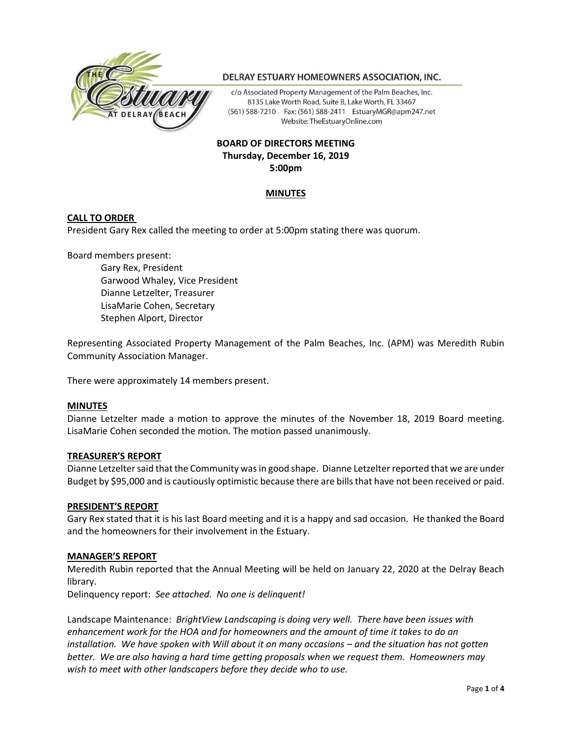

# DELRAY ESTUARY HOMEOWNERS ASSOCIATION, INC.

c/o Associated Property Management of the Palm Beaches, Inc. 8135 Lake Worth Road, Suite B, Lake Worth, FL 33467 (561) 588-7210 Fax: (561) 588-2411 EstuaryMGR@apm247.net Website: TheEstuaryOnline.com

# **BOARD OF DIRECTORS MEETING Thursday, December 16, 2019 5:00pm**

# **MINUTES**

# **CALL TO ORDER**

President Gary Rex called the meeting to order at 5:00pm stating there was quorum.

Board members present:

Gary Rex, President Garwood Whaley, Vice President Dianne Letzelter, Treasurer LisaMarie Cohen, Secretary Stephen Alport, Director

Representing Associated Property Management of the Palm Beaches, Inc. (APM) was Meredith Rubin Community Association Manager.

There were approximately 14 members present.

#### **MINUTES**

Dianne Letzelter made a motion to approve the minutes of the November 18, 2019 Board meeting. LisaMarie Cohen seconded the motion. The motion passed unanimously.

#### **TREASURER'S REPORT**

Dianne Letzelter said that the Community was in good shape. Dianne Letzelter reported that we are under Budget by \$95,000 and is cautiously optimistic because there are bills that have not been received or paid.

#### **PRESIDENT'S REPORT**

Gary Rex stated that it is his last Board meeting and it is a happy and sad occasion. He thanked the Board and the homeowners for their involvement in the Estuary.

# **MANAGER'S REPORT**

Meredith Rubin reported that the Annual Meeting will be held on January 22, 2020 at the Delray Beach library.

Delinquency report: *See attached. No one is delinquent!*

Landscape Maintenance: *BrightView Landscaping is doing very well. There have been issues with enhancement work for the HOA and for homeowners and the amount of time it takes to do an installation. We have spoken with Will about it on many occasions – and the situation has not gotten better. We are also having a hard time getting proposals when we request them. Homeowners may wish to meet with other landscapers before they decide who to use.*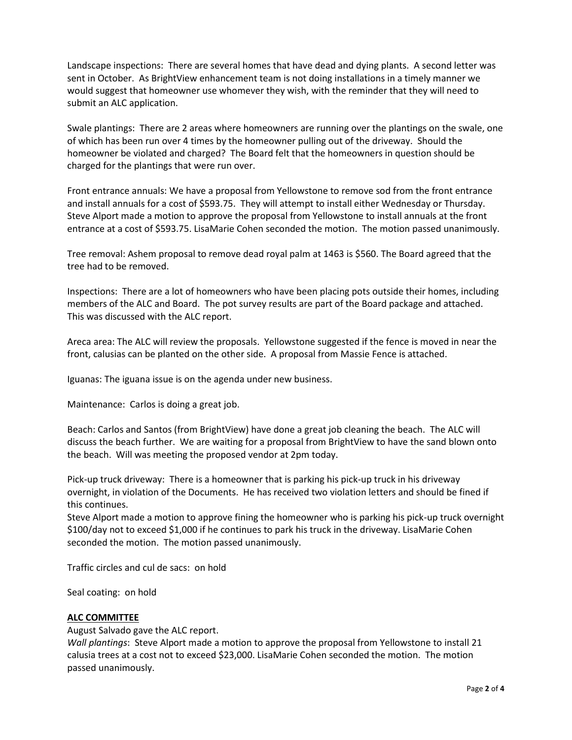Landscape inspections: There are several homes that have dead and dying plants. A second letter was sent in October. As BrightView enhancement team is not doing installations in a timely manner we would suggest that homeowner use whomever they wish, with the reminder that they will need to submit an ALC application.

Swale plantings: There are 2 areas where homeowners are running over the plantings on the swale, one of which has been run over 4 times by the homeowner pulling out of the driveway. Should the homeowner be violated and charged? The Board felt that the homeowners in question should be charged for the plantings that were run over.

Front entrance annuals: We have a proposal from Yellowstone to remove sod from the front entrance and install annuals for a cost of \$593.75. They will attempt to install either Wednesday or Thursday. Steve Alport made a motion to approve the proposal from Yellowstone to install annuals at the front entrance at a cost of \$593.75. LisaMarie Cohen seconded the motion. The motion passed unanimously.

Tree removal: Ashem proposal to remove dead royal palm at 1463 is \$560. The Board agreed that the tree had to be removed.

Inspections: There are a lot of homeowners who have been placing pots outside their homes, including members of the ALC and Board. The pot survey results are part of the Board package and attached. This was discussed with the ALC report.

Areca area: The ALC will review the proposals. Yellowstone suggested if the fence is moved in near the front, calusias can be planted on the other side. A proposal from Massie Fence is attached.

Iguanas: The iguana issue is on the agenda under new business.

Maintenance: Carlos is doing a great job.

Beach: Carlos and Santos (from BrightView) have done a great job cleaning the beach. The ALC will discuss the beach further. We are waiting for a proposal from BrightView to have the sand blown onto the beach. Will was meeting the proposed vendor at 2pm today.

Pick-up truck driveway: There is a homeowner that is parking his pick-up truck in his driveway overnight, in violation of the Documents. He has received two violation letters and should be fined if this continues.

Steve Alport made a motion to approve fining the homeowner who is parking his pick-up truck overnight \$100/day not to exceed \$1,000 if he continues to park his truck in the driveway. LisaMarie Cohen seconded the motion. The motion passed unanimously.

Traffic circles and cul de sacs: on hold

Seal coating: on hold

# **ALC COMMITTEE**

August Salvado gave the ALC report.

*Wall plantings*: Steve Alport made a motion to approve the proposal from Yellowstone to install 21 calusia trees at a cost not to exceed \$23,000. LisaMarie Cohen seconded the motion. The motion passed unanimously.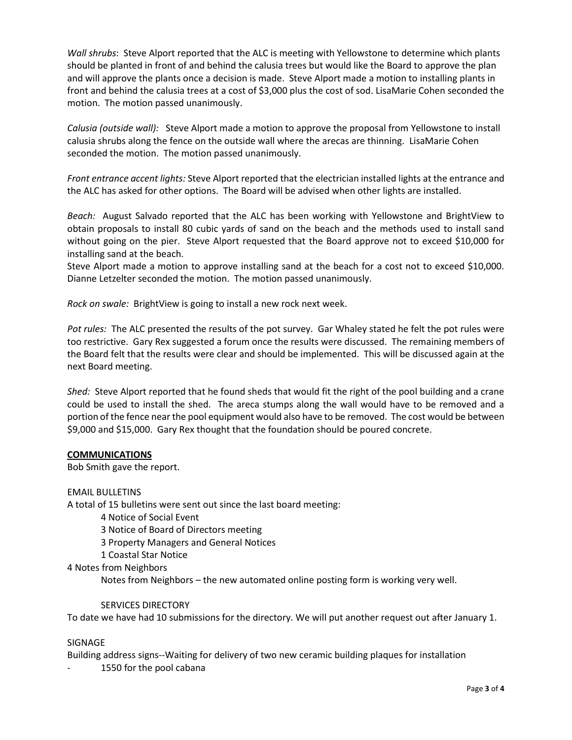*Wall shrubs*: Steve Alport reported that the ALC is meeting with Yellowstone to determine which plants should be planted in front of and behind the calusia trees but would like the Board to approve the plan and will approve the plants once a decision is made. Steve Alport made a motion to installing plants in front and behind the calusia trees at a cost of \$3,000 plus the cost of sod. LisaMarie Cohen seconded the motion. The motion passed unanimously.

*Calusia (outside wall):* Steve Alport made a motion to approve the proposal from Yellowstone to install calusia shrubs along the fence on the outside wall where the arecas are thinning. LisaMarie Cohen seconded the motion. The motion passed unanimously.

*Front entrance accent lights:* Steve Alport reported that the electrician installed lights at the entrance and the ALC has asked for other options. The Board will be advised when other lights are installed.

*Beach:* August Salvado reported that the ALC has been working with Yellowstone and BrightView to obtain proposals to install 80 cubic yards of sand on the beach and the methods used to install sand without going on the pier. Steve Alport requested that the Board approve not to exceed \$10,000 for installing sand at the beach.

Steve Alport made a motion to approve installing sand at the beach for a cost not to exceed \$10,000. Dianne Letzelter seconded the motion. The motion passed unanimously.

*Rock on swale:* BrightView is going to install a new rock next week.

*Pot rules:* The ALC presented the results of the pot survey. Gar Whaley stated he felt the pot rules were too restrictive. Gary Rex suggested a forum once the results were discussed. The remaining members of the Board felt that the results were clear and should be implemented. This will be discussed again at the next Board meeting.

*Shed:* Steve Alport reported that he found sheds that would fit the right of the pool building and a crane could be used to install the shed. The areca stumps along the wall would have to be removed and a portion of the fence near the pool equipment would also have to be removed. The cost would be between \$9,000 and \$15,000. Gary Rex thought that the foundation should be poured concrete.

# **COMMUNICATIONS**

Bob Smith gave the report.

EMAIL BULLETINS

A total of 15 bulletins were sent out since the last board meeting:

- 4 Notice of Social Event
- 3 Notice of Board of Directors meeting
- 3 Property Managers and General Notices
- 1 Coastal Star Notice

4 Notes from Neighbors

Notes from Neighbors – the new automated online posting form is working very well.

# SERVICES DIRECTORY

To date we have had 10 submissions for the directory. We will put another request out after January 1.

# SIGNAGE

Building address signs--Waiting for delivery of two new ceramic building plaques for installation

1550 for the pool cabana